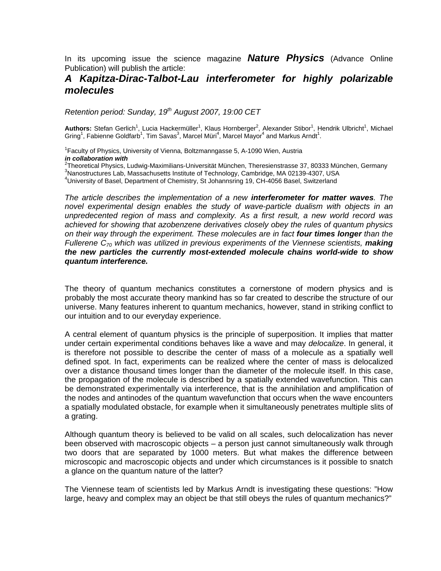In its upcoming issue the science magazine *Nature Physics* (Advance Online Publication) will publish the article:

## *A Kapitza-Dirac-Talbot-Lau interferometer for highly polarizable molecules*

*Retention period: Sunday, 19th August 2007, 19:00 CET* 

Authors: Stefan Gerlich<sup>1</sup>, Lucia Hackermüller<sup>1</sup>, Klaus Hornberger<sup>2</sup>, Alexander Stibor<sup>1</sup>, Hendrik Ulbricht<sup>1</sup>, Michael Gring<sup>1</sup>, Fabienne Goldfarb<sup>1</sup>, Tim Savas<sup>3</sup>, Marcel Müri<sup>4</sup>, Marcel Mayor<sup>4</sup> and Markus Arndt<sup>1</sup>.

<sup>1</sup> Faculty of Physics, University of Vienna, Boltzmanngasse 5, A-1090 Wien, Austria *in collaboration with* 

<sup>2</sup>Theoretical Physics, Ludwig-Maximilians-Universität München, Theresienstrasse 37, 80333 München, Germany<br><sup>3</sup>Nepestructures Leb Messochusette Institute of Technology, Combridge, MA 02120, 1207, USA <sup>3</sup>Nanostructures Lab, Massachusetts Institute of Technology, Cambridge, MA 02139-4307, USA <sup>4</sup>University of Basel, Department of Chemistry, St Johannsring 19, CH-4056 Basel, Switzerland

*The article describes the implementation of a new interferometer for matter waves. The novel experimental design enables the study of wave-particle dualism with objects in an unpredecented region of mass and complexity. As a first result, a new world record was achieved for showing that azobenzene derivatives closely obey the rules of quantum physics on their way through the experiment. These molecules are in fact four times longer than the Fullerene C<sub>70</sub> which was utilized in previous experiments of the Viennese scientists, making the new particles the currently most-extended molecule chains world-wide to show quantum interference.* 

The theory of quantum mechanics constitutes a cornerstone of modern physics and is probably the most accurate theory mankind has so far created to describe the structure of our universe. Many features inherent to quantum mechanics, however, stand in striking conflict to our intuition and to our everyday experience.

A central element of quantum physics is the principle of superposition. It implies that matter under certain experimental conditions behaves like a wave and may *delocalize*. In general, it is therefore not possible to describe the center of mass of a molecule as a spatially well defined spot. In fact, experiments can be realized where the center of mass is delocalized over a distance thousand times longer than the diameter of the molecule itself. In this case, the propagation of the molecule is described by a spatially extended wavefunction. This can be demonstrated experimentally via interference, that is the annihilation and amplification of the nodes and antinodes of the quantum wavefunction that occurs when the wave encounters a spatially modulated obstacle, for example when it simultaneously penetrates multiple slits of a grating.

Although quantum theory is believed to be valid on all scales, such delocalization has never been observed with macroscopic objects – a person just cannot simultaneously walk through two doors that are separated by 1000 meters. But what makes the difference between microscopic and macroscopic objects and under which circumstances is it possible to snatch a glance on the quantum nature of the latter?

The Viennese team of scientists led by Markus Arndt is investigating these questions: "How large, heavy and complex may an object be that still obeys the rules of quantum mechanics?"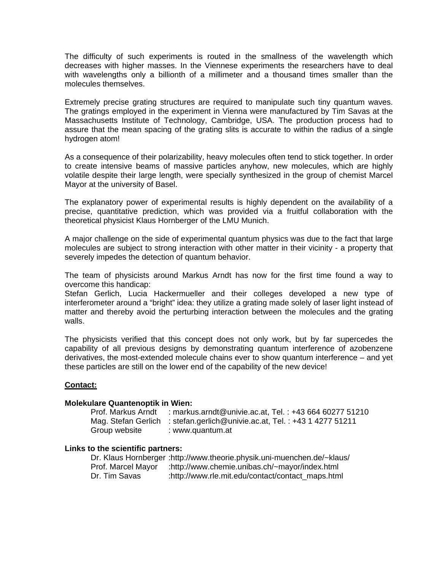The difficulty of such experiments is routed in the smallness of the wavelength which decreases with higher masses. In the Viennese experiments the researchers have to deal with wavelengths only a billionth of a millimeter and a thousand times smaller than the molecules themselves.

Extremely precise grating structures are required to manipulate such tiny quantum waves. The gratings employed in the experiment in Vienna were manufactured by Tim Savas at the Massachusetts Institute of Technology, Cambridge, USA. The production process had to assure that the mean spacing of the grating slits is accurate to within the radius of a single hydrogen atom!

As a consequence of their polarizability, heavy molecules often tend to stick together. In order to create intensive beams of massive particles anyhow, new molecules, which are highly volatile despite their large length, were specially synthesized in the group of chemist Marcel Mayor at the university of Basel.

The explanatory power of experimental results is highly dependent on the availability of a precise, quantitative prediction, which was provided via a fruitful collaboration with the theoretical physicist Klaus Hornberger of the LMU Munich.

A major challenge on the side of experimental quantum physics was due to the fact that large molecules are subject to strong interaction with other matter in their vicinity - a property that severely impedes the detection of quantum behavior.

The team of physicists around Markus Arndt has now for the first time found a way to overcome this handicap:

Stefan Gerlich, Lucia Hackermueller and their colleges developed a new type of interferometer around a "bright" idea: they utilize a grating made solely of laser light instead of matter and thereby avoid the perturbing interaction between the molecules and the grating walls.

The physicists verified that this concept does not only work, but by far supercedes the capability of all previous designs by demonstrating quantum interference of azobenzene derivatives, the most-extended molecule chains ever to show quantum interference – and yet these particles are still on the lower end of the capability of the new device!

## **Contact:**

## **Molekulare Quantenoptik in Wien:**

| Prof. Markus Arndt | : markus.arndt@univie.ac.at, Tel.: +43 664 60277 51210                    |
|--------------------|---------------------------------------------------------------------------|
|                    | Mag. Stefan Gerlich : stefan.gerlich@univie.ac.at, Tel.: +43 1 4277 51211 |
| Group website      | : www.quantum.at                                                          |

## **Links to the scientific partners:**

|                    | Dr. Klaus Hornberger: http://www.theorie.physik.uni-muenchen.de/~klaus/ |
|--------------------|-------------------------------------------------------------------------|
| Prof. Marcel Mayor | :http://www.chemie.unibas.ch/~mayor/index.html                          |
| Dr. Tim Savas      | :http://www.rle.mit.edu/contact/contact_maps.html                       |